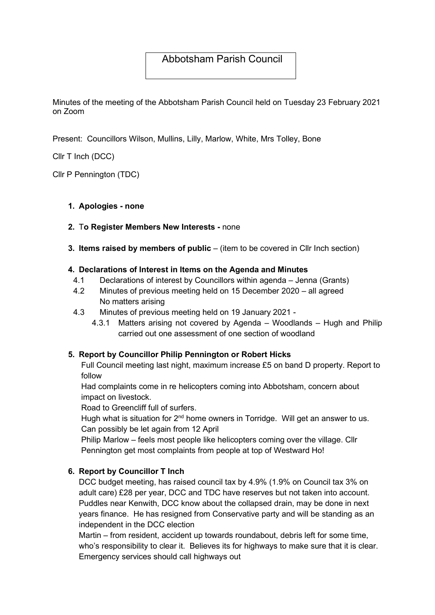# Abbotsham Parish Council

Minutes of the meeting of the Abbotsham Parish Council held on Tuesday 23 February 2021 on Zoom

Present: Councillors Wilson, Mullins, Lilly, Marlow, White, Mrs Tolley, Bone

Cllr T Inch (DCC)

Cllr P Pennington (TDC)

### 1. Apologies - none

### 2. To Register Members New Interests - none

3. Items raised by members of public – (item to be covered in Cllr Inch section)

### 4. Declarations of Interest in Items on the Agenda and Minutes

- 4.1 Declarations of interest by Councillors within agenda Jenna (Grants)
- 4.2 Minutes of previous meeting held on 15 December 2020 all agreed No matters arising
- 4.3 Minutes of previous meeting held on 19 January 2021
	- 4.3.1 Matters arising not covered by Agenda Woodlands Hugh and Philip carried out one assessment of one section of woodland

# 5. Report by Councillor Philip Pennington or Robert Hicks

Full Council meeting last night, maximum increase £5 on band D property. Report to follow

Had complaints come in re helicopters coming into Abbotsham, concern about impact on livestock.

Road to Greencliff full of surfers.

Hugh what is situation for  $2<sup>nd</sup>$  home owners in Torridge. Will get an answer to us. Can possibly be let again from 12 April

Philip Marlow – feels most people like helicopters coming over the village. Cllr Pennington get most complaints from people at top of Westward Ho!

# 6. Report by Councillor T Inch

DCC budget meeting, has raised council tax by 4.9% (1.9% on Council tax 3% on adult care) £28 per year, DCC and TDC have reserves but not taken into account. Puddles near Kenwith, DCC know about the collapsed drain, may be done in next years finance. He has resigned from Conservative party and will be standing as an independent in the DCC election

Martin – from resident, accident up towards roundabout, debris left for some time, who's responsibility to clear it. Believes its for highways to make sure that it is clear. Emergency services should call highways out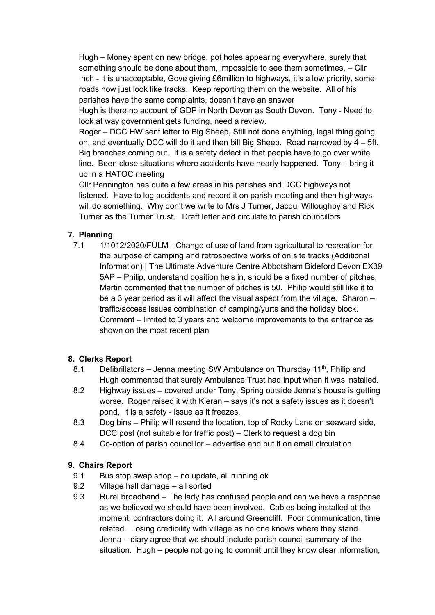Hugh – Money spent on new bridge, pot holes appearing everywhere, surely that something should be done about them, impossible to see them sometimes. – Cllr Inch - it is unacceptable, Gove giving £6million to highways, it's a low priority, some roads now just look like tracks. Keep reporting them on the website. All of his parishes have the same complaints, doesn't have an answer

Hugh is there no account of GDP in North Devon as South Devon. Tony - Need to look at way government gets funding, need a review.

Roger – DCC HW sent letter to Big Sheep, Still not done anything, legal thing going on, and eventually DCC will do it and then bill Big Sheep. Road narrowed by 4 – 5ft. Big branches coming out. It is a safety defect in that people have to go over white line. Been close situations where accidents have nearly happened. Tony – bring it up in a HATOC meeting

Cllr Pennington has quite a few areas in his parishes and DCC highways not listened. Have to log accidents and record it on parish meeting and then highways will do something. Why don't we write to Mrs J Turner, Jacqui Willoughby and Rick Turner as the Turner Trust. Draft letter and circulate to parish councillors

# 7. Planning

7.1 1/1012/2020/FULM - Change of use of land from agricultural to recreation for the purpose of camping and retrospective works of on site tracks (Additional Information) | The Ultimate Adventure Centre Abbotsham Bideford Devon EX39 5AP – Philip, understand position he's in, should be a fixed number of pitches, Martin commented that the number of pitches is 50. Philip would still like it to be a 3 year period as it will affect the visual aspect from the village. Sharon – traffic/access issues combination of camping/yurts and the holiday block. Comment – limited to 3 years and welcome improvements to the entrance as shown on the most recent plan

# 8. Clerks Report

- 8.1 Defibrillators Jenna meeting SW Ambulance on Thursday 11<sup>th</sup>, Philip and Hugh commented that surely Ambulance Trust had input when it was installed.
- 8.2 Highway issues covered under Tony, Spring outside Jenna's house is getting worse. Roger raised it with Kieran – says it's not a safety issues as it doesn't pond, it is a safety - issue as it freezes.
- 8.3 Dog bins Philip will resend the location, top of Rocky Lane on seaward side, DCC post (not suitable for traffic post) – Clerk to request a dog bin
- 8.4 Co-option of parish councillor advertise and put it on email circulation

# 9. Chairs Report

- 9.1 Bus stop swap shop no update, all running ok
- 9.2 Village hall damage all sorted
- 9.3 Rural broadband The lady has confused people and can we have a response as we believed we should have been involved. Cables being installed at the moment, contractors doing it. All around Greencliff. Poor communication, time related. Losing credibility with village as no one knows where they stand. Jenna – diary agree that we should include parish council summary of the situation. Hugh – people not going to commit until they know clear information,